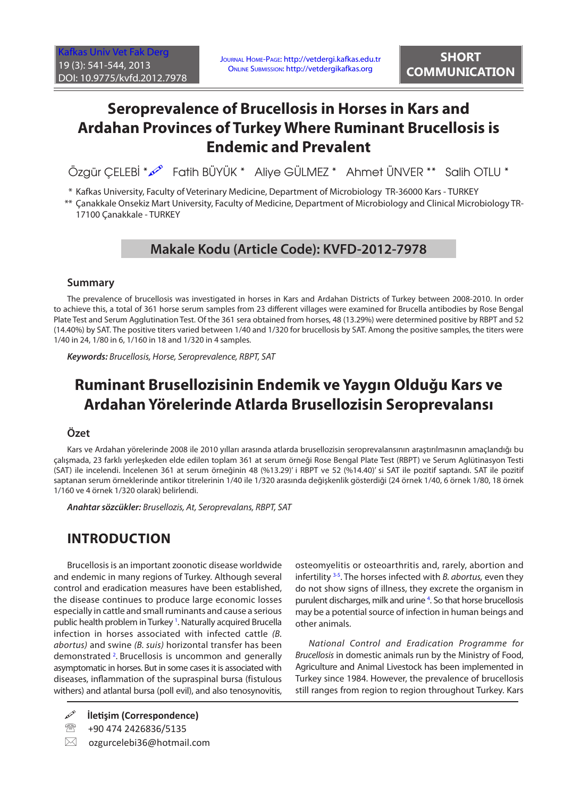# **Seroprevalence of Brucellosis in Horses in Kars and Ardahan Provinces of Turkey Where Ruminant Brucellosis is Endemic and Prevalent**

Özgür ÇELEBİ \*  $\mathcal{P}$  Fatih BÜYÜK \* Aliye GÜLMEZ \* Ahmet ÜNVER \*\* Salih OTLU \*

\* Kafkas University, Faculty of Veterinary Medicine, Department of Microbiology TR-36000 Kars - TURKEY

\*\* Çanakkale Onsekiz Mart University, Faculty of Medicine, Department of Microbiology and Clinical Microbiology TR-17100 Çanakkale - TURKEY

### **Makale Kodu (Article Code): KVFD-2012-7978**

#### **Summary**

The prevalence of brucellosis was investigated in horses in Kars and Ardahan Districts of Turkey between 2008-2010. In order to achieve this, a total of 361 horse serum samples from 23 different villages were examined for Brucella antibodies by Rose Bengal Plate Test and Serum Agglutination Test. Of the 361 sera obtained from horses, 48 (13.29%) were determined positive by RBPT and 52 (14.40%) by SAT. The positive titers varied between 1/40 and 1/320 for brucellosis by SAT. Among the positive samples, the titers were 1/40 in 24, 1/80 in 6, 1/160 in 18 and 1/320 in 4 samples.

*Keywords: Brucellosis, Horse, Seroprevalence, RBPT, SAT*

## **Ruminant Brusellozisinin Endemik ve Yaygın Olduğu Kars ve Ardahan Yörelerinde Atlarda Brusellozisin Seroprevalansı**

#### **Özet**

Kars ve Ardahan yörelerinde 2008 ile 2010 yılları arasında atlarda brusellozisin seroprevalansının araştırılmasının amaçlandığı bu çalışmada, 23 farklı yerleşkeden elde edilen toplam 361 at serum örneği Rose Bengal Plate Test (RBPT) ve Serum Aglütinasyon Testi (SAT) ile incelendi. İncelenen 361 at serum örneğinin 48 (%13.29)' i RBPT ve 52 (%14.40)' si SAT ile pozitif saptandı. SAT ile pozitif saptanan serum örneklerinde antikor titrelerinin 1/40 ile 1/320 arasında değişkenlik gösterdiği (24 örnek 1/40, 6 örnek 1/80, 18 örnek 1/160 ve 4 örnek 1/320 olarak) belirlendi.

*Anahtar sözcükler: Brusellozis, At, Seroprevalans, RBPT, SAT*

### **INTRODUCTION**

Brucellosis is an important zoonotic disease worldwide and endemic in many regions of Turkey. Although several control and eradication measures have been established, the disease continues to produce large economic losses especially in cattle and small ruminants and cause a serious public health problem in Turkey <sup>1</sup>[.](#page-2-0) Naturally acquired Brucella infection in horses associated with infected cattle *(B. abortus)* and swine *(B. suis)* horizontal transfer has been demonstrated<sup>2</sup>[.](#page-2-0) Brucellosis is uncommon and generally asymptomatic in horses. But in some cases it is associated with diseases, inflammation of the supraspinal bursa (fistulous withers) and atlantal bursa (poll evil), and also tenosynovitis,

**İletişim (Correspondence)**

<sup>2</sup>/<sub>3</sub> +90 474 2426836/5135

 $\boxtimes$  ozgurcelebi36@hotmail.com

osteomyelitis or osteoarthritis and, rarely, abortion and infertilit[y 3-5](#page-2-0). The horses infected with *B. abortus,* even they do not show signs of illness, they excrete the organism in purulent discharges, milk and urine <sup>4</sup>. So that horse brucellosis may be a potential source of infection in human beings and other animals.

*National Control and Eradication Programme for Brucellosis* in domestic animals run by the Ministry of Food, Agriculture and Animal Livestock has been implemented in Turkey since 1984. However, the prevalence of brucellosis still ranges from region to region throughout Turkey. Kars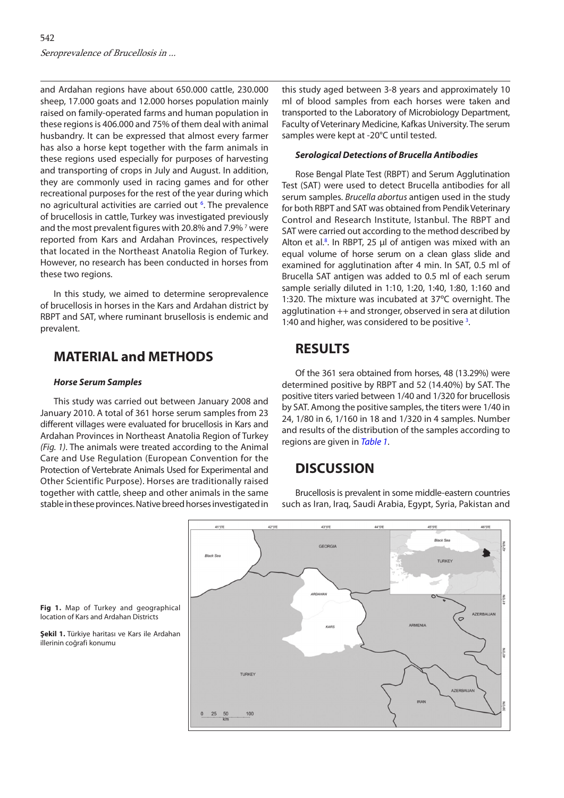and Ardahan regions have about 650.000 cattle, 230.000 sheep, 17.000 goats and 12.000 horses population mainly raised on family-operated farms and human population in these regions is 406.000 and 75% of them deal with animal husbandry. It can be expressed that almost every farmer has also a horse kept together with the farm animals in these regions used especially for purposes of harvesting and transporting of crops in July and August. In addition, they are commonly used in racing games and for other recreational purposes for the rest of the year during which no agricultural activities are carried out <sup>[6](#page-2-0)</sup>. The prevalence of brucellosis in cattle, Turkey was investigated previously and the most prevalent figures with 20.8% and [7](#page-2-0).9%<sup>7</sup> were reported from Kars and Ardahan Provinces, respectively that located in the Northeast Anatolia Region of Turkey. However, no research has been conducted in horses from these two regions.

In this study, we aimed to determine seroprevalence of brucellosis in horses in the Kars and Ardahan district by RBPT and SAT, where ruminant brusellosis is endemic and prevalent.

### **MATERIAL and METHODS**

#### *Horse Serum Samples*

This study was carried out between January 2008 and January 2010. A total of 361 horse serum samples from 23 different villages were evaluated for brucellosis in Kars and Ardahan Provinces in Northeast Anatolia Region of Turkey *(Fig. 1)*. The animals were treated according to the Animal Care and Use Regulation (European Convention for the Protection of Vertebrate Animals Used for Experimental and Other Scientific Purpose). Horses are traditionally raised together with cattle, sheep and other animals in the same stable in these provinces. Native breed horses investigated in this study aged between 3-8 years and approximately 10 ml of blood samples from each horses were taken and transported to the Laboratory of Microbiology Department, Faculty of Veterinary Medicine, Kafkas University. The serum samples were kept at -20°C until tested.

#### *Serological Detections of Brucella Antibodies*

Rose Bengal Plate Test (RBPT) and Serum Agglutination Test (SAT) were used to detect Brucella antibodies for all serum samples. *Brucella abortus* antigen used in the study for both RBPT and SAT was obtained from Pendik Veterinary Control and Research Institute, Istanbul. The RBPT and SAT were carried out according to the method described by Alton et al.<sup>8</sup>[.](#page-3-0) In RBPT, 25 µl of antigen was mixed with an equal volume of horse serum on a clean glass slide and examined for agglutination after 4 min. In SAT, 0.5 ml of Brucella SAT antigen was added to 0.5 ml of each serum sample serially diluted in 1:10, 1:20, 1:40, 1:80, 1:160 and 1:320. The mixture was incubated at 37ºC overnight. The agglutination ++ and stronger, observed in sera at dilution 1:40 and higher, was considered to be positive <sup>[3](#page-2-0)</sup>.

### **RESULTS**

Of the 361 sera obtained from horses, 48 (13.29%) were determined positive by RBPT and 52 (14.40%) by SAT. The positive titers varied between 1/40 and 1/320 for brucellosis by SAT. Among the positive samples, the titers were 1/40 in 24, 1/80 in 6, 1/160 in 18 and 1/320 in 4 samples. Number and results of the distribution of the samples according to regions are given in *[Table 1](#page-2-0)*.

### **DISCUSSION**

Brucellosis is prevalent in some middle-eastern countries such as Iran, Iraq, Saudi Arabia, Egypt, Syria, Pakistan and



**Fig 1.** Map of Turkey and geographical location of Kars and Ardahan Districts

**Şekil 1.** Türkiye haritası ve Kars ile Ardahan illerinin coğrafi konumu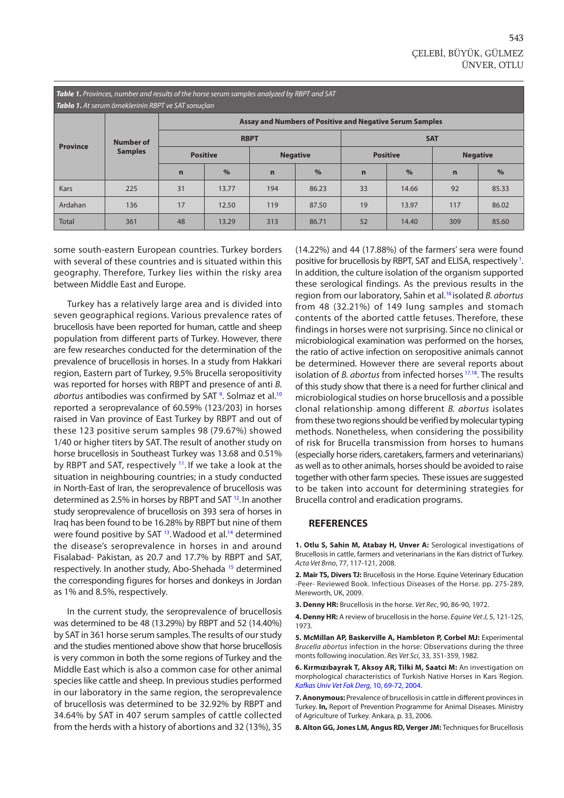<span id="page-2-0"></span>*Table 1. Provinces, number and results of the horse serum samples analyzed by RBPT and SAT Tablo 1. At serum örneklerinin RBPT ve SAT sonuçları*

| <b>Tablo 1:</b> At seram onleatermin nor TVE SAT somaçıdır |                                    |                                                          |               |                 |               |                 |       |                 |       |
|------------------------------------------------------------|------------------------------------|----------------------------------------------------------|---------------|-----------------|---------------|-----------------|-------|-----------------|-------|
| <b>Province</b>                                            | <b>Number of</b><br><b>Samples</b> | Assay and Numbers of Positive and Negative Serum Samples |               |                 |               |                 |       |                 |       |
|                                                            |                                    | <b>RBPT</b>                                              |               |                 |               | <b>SAT</b>      |       |                 |       |
|                                                            |                                    | <b>Positive</b>                                          |               | <b>Negative</b> |               | <b>Positive</b> |       | <b>Negative</b> |       |
|                                                            |                                    | $\mathbf n$                                              | $\frac{0}{0}$ | $\mathbf n$     | $\frac{9}{6}$ | $\mathbf n$     | $\%$  | $\mathbf n$     | $\%$  |
| <b>Kars</b>                                                | 225                                | 31                                                       | 13.77         | 194             | 86.23         | 33              | 14.66 | 92              | 85.33 |
| Ardahan                                                    | 136                                | 17                                                       | 12.50         | 119             | 87.50         | 19              | 13.97 | 117             | 86.02 |
| <b>Total</b>                                               | 361                                | 48                                                       | 13.29         | 313             | 86.71         | 52              | 14.40 | 309             | 85.60 |

some south-eastern European countries. Turkey borders with several of these countries and is situated within this geography. Therefore, Turkey lies within the risky area between Middle East and Europe.

Turkey has a relatively large area and is divided into seven geographical regions. Various prevalence rates of brucellosis have been reported for human, cattle and sheep population from different parts of Turkey. However, there are few researches conducted for the determination of the prevalence of brucellosis in horses. In a study from Hakkari region, Eastern part of Turkey, 9.5% Brucella seropositivity was reported for horses with RBPT and presence of anti *B. abortus* antibodies was confirmed by SAT [9](#page-3-0) . Solmaz et al.[10](#page-3-0) reported a seroprevalance of 60.59% (123/203) in horses raised in Van province of East Turkey by RBPT and out of these 123 positive serum samples 98 (79.67%) showed 1/40 or higher titers by SAT. The result of another study on horse brucellosis in Southeast Turkey was 13.68 and 0.51% by RBPT and SAT, respectively [11.](#page-3-0) If we take a look at the situation in neighbouring countries; in a study conducted in North-East of Iran, the seroprevalence of brucellosis was determined as 2.5% in horses by RBPT and SAT [12.](#page-3-0)In another study seroprevalence of brucellosis on 393 sera of horses in Iraq has been found to be 16.28% by RBPT but nine of them were found positive by SAT <sup>13</sup>. Wadood et al.<sup>14</sup> determined the disease's seroprevalence in horses in and around Fisalabad- Pakistan, as 20.7 and 17.7% by RBPT and SAT, respectively. In another study, Abo-Shehada [15](#page-3-0) determined the corresponding figures for horses and donkeys in Jordan as 1% and 8.5%, respectively.

In the current study, the seroprevalence of brucellosis was determined to be 48 (13.29%) by RBPT and 52 (14.40%) by SAT in 361 horse serum samples. The results of our study and the studies mentioned above show that horse brucellosis is very common in both the some regions of Turkey and the Middle East which is also a common case for other animal species like cattle and sheep. In previous studies performed in our laboratory in the same region, the seroprevalence of brucellosis was determined to be 32.92% by RBPT and 34.64% by SAT in 407 serum samples of cattle collected from the herds with a history of abortions and 32 (13%), 35 (14.22%) and 44 (17.88%) of the farmers' sera were found positive for brucellosis by RBPT, SAT and ELISA, respectively<sup>1</sup>. In addition, the culture isolation of the organism supported these serological findings. As the previous results in the region from our laboratory, Sahin et al.[16](#page-3-0) isolated *B. abortus* from 48 (32.21%) of 149 lung samples and stomach contents of the aborted cattle fetuses. Therefore, these findings in horses were not surprising. Since no clinical or microbiological examination was performed on the horses, the ratio of active infection on seropositive animals cannot be determined. However there are several reports about isolation of *B. abortus* from infected horses [17,18.](#page-3-0) The results of this study show that there is a need for further clinical and microbiological studies on horse brucellosis and a possible clonal relationship among different *B. abortus* isolates from these two regions should be verified by molecular typing methods. Nonetheless, when considering the possibility of risk for Brucella transmission from horses to humans (especially horse riders, caretakers, farmers and veterinarians) as well as to other animals, horses should be avoided to raise together with other farm species. These issues are suggested to be taken into account for determining strategies for Brucella control and eradication programs.

#### **REFERENCES**

**1. Otlu S, Sahin M, Atabay H, Unver A:** Serological investigations of Brucellosis in cattle, farmers and veterinarians in the Kars district of Turkey. *Acta Vet Brno*, 77, 117-121, 2008.

**2. Mair TS, Divers TJ:** Brucellosis in the Horse. Equine Veterinary Education -Peer- Reviewed Book. Infectious Diseases of the Horse. pp. 275-289, Mereworth, UK, 2009.

**3. Denny HR:** Brucellosis in the horse. *Vet Rec*, 90, 86-90, 1972.

**4. Denny HR:** A review of brucellosis in the horse. *Equine Vet J*, 5, 121-125, 1973.

**5. McMillan AP, Baskerville A, Hambleton P, Corbel MJ:** Experimental *Brucella abortus* infection in the horse: Observations during the three monts following inoculation. *Res Vet Sci*, 33, 351-359, 1982.

**6. Kırmızıbayrak T, Aksoy AR, Tilki M, Saatci M:** An investigation on [morphological characteristics of Turkish Native Horses in Kars Region.](http://vetdergi.kafkas.edu.tr/extdocs/10_1/69_72.pdf)  *Kafkas Univ Vet Fak Derg*, 10, 69-72, 2004.

**7. Anonymous:** Prevalence of brucellosis in cattle in different provinces in Turkey. **In,** Report of Prevention Programme for Animal Diseases. Ministry of Agriculture of Turkey. Ankara, p. 33, 2006.

**8. Alton GG, Jones LM, Angus RD, Verger JM:** Techniques for Brucellosis